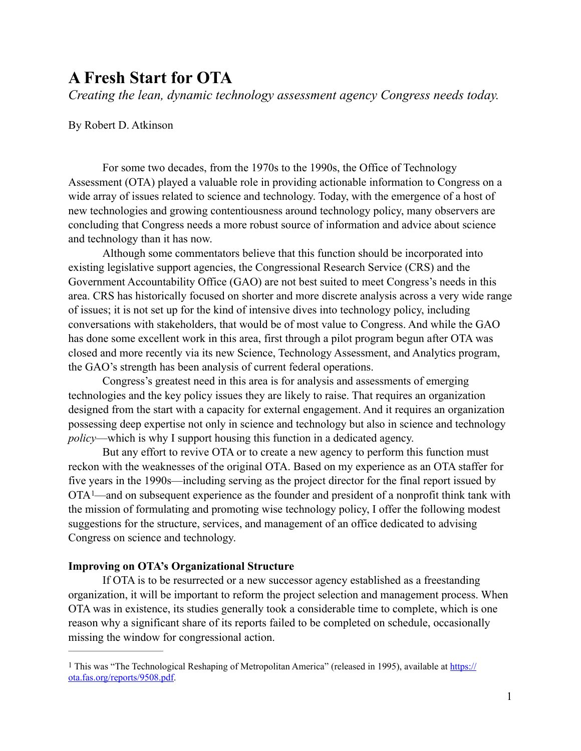# **A Fresh Start for OTA**

*Creating the lean, dynamic technology assessment agency Congress needs today.* 

## By Robert D. Atkinson

For some two decades, from the 1970s to the 1990s, the Office of Technology Assessment (OTA) played a valuable role in providing actionable information to Congress on a wide array of issues related to science and technology. Today, with the emergence of a host of new technologies and growing contentiousness around technology policy, many observers are concluding that Congress needs a more robust source of information and advice about science and technology than it has now.

Although some commentators believe that this function should be incorporated into existing legislative support agencies, the Congressional Research Service (CRS) and the Government Accountability Office (GAO) are not best suited to meet Congress's needs in this area. CRS has historically focused on shorter and more discrete analysis across a very wide range of issues; it is not set up for the kind of intensive dives into technology policy, including conversations with stakeholders, that would be of most value to Congress. And while the GAO has done some excellent work in this area, first through a pilot program begun after OTA was closed and more recently via its new Science, Technology Assessment, and Analytics program, the GAO's strength has been analysis of current federal operations.

Congress's greatest need in this area is for analysis and assessments of emerging technologies and the key policy issues they are likely to raise. That requires an organization designed from the start with a capacity for external engagement. And it requires an organization possessing deep expertise not only in science and technology but also in science and technology *policy*—which is why I support housing this function in a dedicated agency.

<span id="page-0-1"></span>But any effort to revive OTA or to create a new agency to perform this function must reckon with the weaknesses of the original OTA. Based on my experience as an OTA staffer for five years in the 1990s—including serving as the project director for the final report issued by OTA [—](#page-0-0)and on subsequent experience as the founder and president of a nonprofit think tank with [1](#page-0-0) the mission of formulating and promoting wise technology policy, I offer the following modest suggestions for the structure, services, and management of an office dedicated to advising Congress on science and technology.

## **Improving on OTA's Organizational Structure**

If OTA is to be resurrected or a new successor agency established as a freestanding organization, it will be important to reform the project selection and management process. When OTA was in existence, its studies generally took a considerable time to complete, which is one reason why a significant share of its reports failed to be completed on schedule, occasionally missing the window for congressional action.

<span id="page-0-0"></span>[<sup>1</sup>](#page-0-1) This was "The Technological Reshaping of Metropolitan America" (released in 1995), available at [https://](https://ota.fas.org/reports/9508.pdf) [ota.fas.org/reports/9508.pdf](https://ota.fas.org/reports/9508.pdf).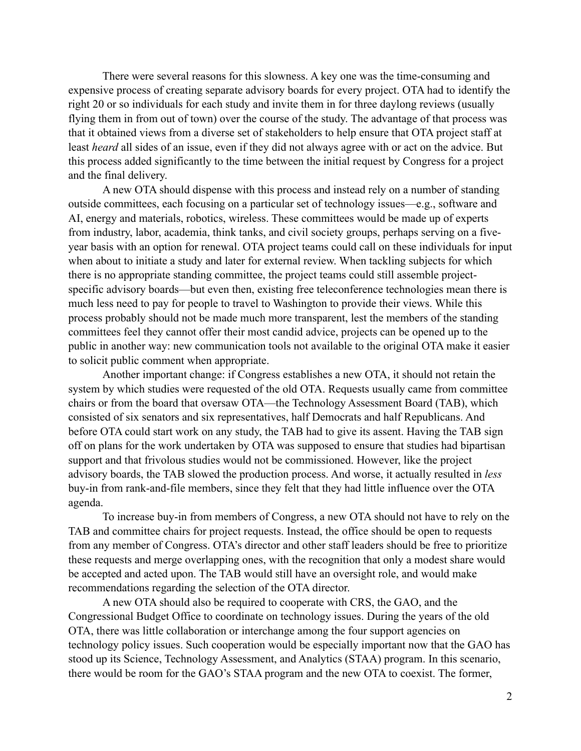There were several reasons for this slowness. A key one was the time-consuming and expensive process of creating separate advisory boards for every project. OTA had to identify the right 20 or so individuals for each study and invite them in for three daylong reviews (usually flying them in from out of town) over the course of the study. The advantage of that process was that it obtained views from a diverse set of stakeholders to help ensure that OTA project staff at least *heard* all sides of an issue, even if they did not always agree with or act on the advice. But this process added significantly to the time between the initial request by Congress for a project and the final delivery.

A new OTA should dispense with this process and instead rely on a number of standing outside committees, each focusing on a particular set of technology issues—e.g., software and AI, energy and materials, robotics, wireless. These committees would be made up of experts from industry, labor, academia, think tanks, and civil society groups, perhaps serving on a fiveyear basis with an option for renewal. OTA project teams could call on these individuals for input when about to initiate a study and later for external review. When tackling subjects for which there is no appropriate standing committee, the project teams could still assemble projectspecific advisory boards—but even then, existing free teleconference technologies mean there is much less need to pay for people to travel to Washington to provide their views. While this process probably should not be made much more transparent, lest the members of the standing committees feel they cannot offer their most candid advice, projects can be opened up to the public in another way: new communication tools not available to the original OTA make it easier to solicit public comment when appropriate.

Another important change: if Congress establishes a new OTA, it should not retain the system by which studies were requested of the old OTA. Requests usually came from committee chairs or from the board that oversaw OTA—the Technology Assessment Board (TAB), which consisted of six senators and six representatives, half Democrats and half Republicans. And before OTA could start work on any study, the TAB had to give its assent. Having the TAB sign off on plans for the work undertaken by OTA was supposed to ensure that studies had bipartisan support and that frivolous studies would not be commissioned. However, like the project advisory boards, the TAB slowed the production process. And worse, it actually resulted in *less* buy-in from rank-and-file members, since they felt that they had little influence over the OTA agenda.

To increase buy-in from members of Congress, a new OTA should not have to rely on the TAB and committee chairs for project requests. Instead, the office should be open to requests from any member of Congress. OTA's director and other staff leaders should be free to prioritize these requests and merge overlapping ones, with the recognition that only a modest share would be accepted and acted upon. The TAB would still have an oversight role, and would make recommendations regarding the selection of the OTA director.

A new OTA should also be required to cooperate with CRS, the GAO, and the Congressional Budget Office to coordinate on technology issues. During the years of the old OTA, there was little collaboration or interchange among the four support agencies on technology policy issues. Such cooperation would be especially important now that the GAO has stood up its Science, Technology Assessment, and Analytics (STAA) program. In this scenario, there would be room for the GAO's STAA program and the new OTA to coexist. The former,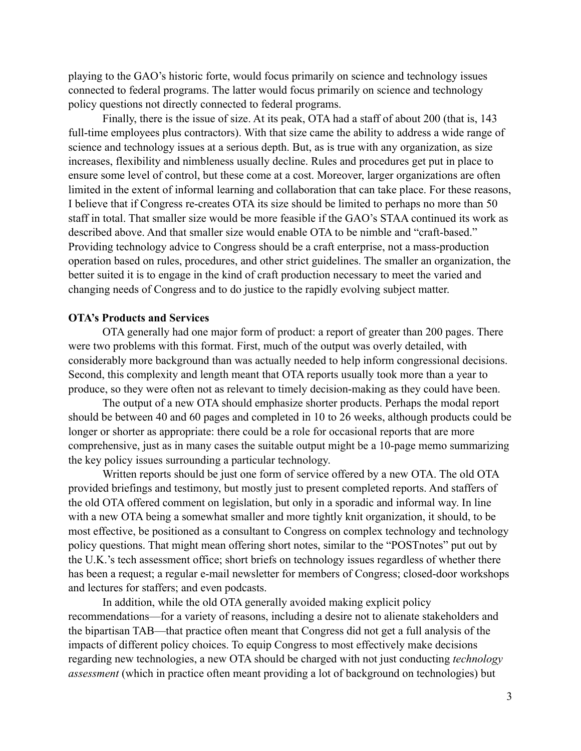playing to the GAO's historic forte, would focus primarily on science and technology issues connected to federal programs. The latter would focus primarily on science and technology policy questions not directly connected to federal programs.

Finally, there is the issue of size. At its peak, OTA had a staff of about 200 (that is, 143 full-time employees plus contractors). With that size came the ability to address a wide range of science and technology issues at a serious depth. But, as is true with any organization, as size increases, flexibility and nimbleness usually decline. Rules and procedures get put in place to ensure some level of control, but these come at a cost. Moreover, larger organizations are often limited in the extent of informal learning and collaboration that can take place. For these reasons, I believe that if Congress re-creates OTA its size should be limited to perhaps no more than 50 staff in total. That smaller size would be more feasible if the GAO's STAA continued its work as described above. And that smaller size would enable OTA to be nimble and "craft-based." Providing technology advice to Congress should be a craft enterprise, not a mass-production operation based on rules, procedures, and other strict guidelines. The smaller an organization, the better suited it is to engage in the kind of craft production necessary to meet the varied and changing needs of Congress and to do justice to the rapidly evolving subject matter.

## **OTA's Products and Services**

OTA generally had one major form of product: a report of greater than 200 pages. There were two problems with this format. First, much of the output was overly detailed, with considerably more background than was actually needed to help inform congressional decisions. Second, this complexity and length meant that OTA reports usually took more than a year to produce, so they were often not as relevant to timely decision-making as they could have been.

The output of a new OTA should emphasize shorter products. Perhaps the modal report should be between 40 and 60 pages and completed in 10 to 26 weeks, although products could be longer or shorter as appropriate: there could be a role for occasional reports that are more comprehensive, just as in many cases the suitable output might be a 10-page memo summarizing the key policy issues surrounding a particular technology.

Written reports should be just one form of service offered by a new OTA. The old OTA provided briefings and testimony, but mostly just to present completed reports. And staffers of the old OTA offered comment on legislation, but only in a sporadic and informal way. In line with a new OTA being a somewhat smaller and more tightly knit organization, it should, to be most effective, be positioned as a consultant to Congress on complex technology and technology policy questions. That might mean offering short notes, similar to the "POSTnotes" put out by the U.K.'s tech assessment office; short briefs on technology issues regardless of whether there has been a request; a regular e-mail newsletter for members of Congress; closed-door workshops and lectures for staffers; and even podcasts.

In addition, while the old OTA generally avoided making explicit policy recommendations—for a variety of reasons, including a desire not to alienate stakeholders and the bipartisan TAB—that practice often meant that Congress did not get a full analysis of the impacts of different policy choices. To equip Congress to most effectively make decisions regarding new technologies, a new OTA should be charged with not just conducting *technology assessment* (which in practice often meant providing a lot of background on technologies) but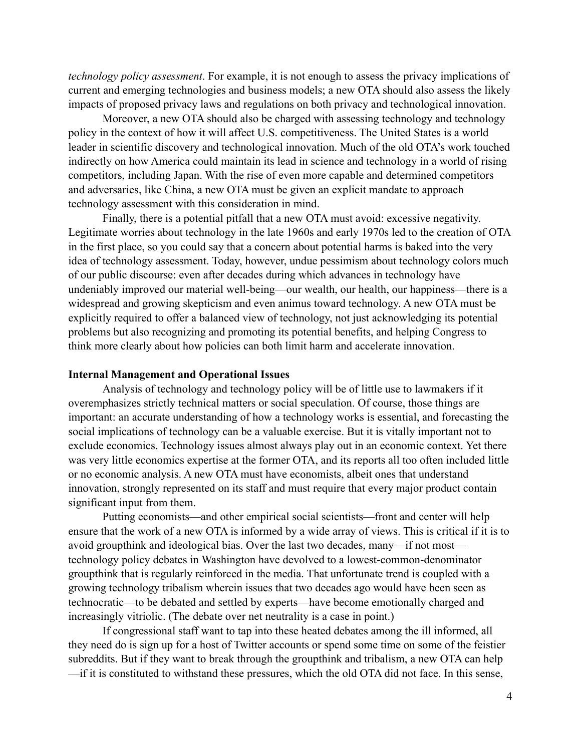*technology policy assessment*. For example, it is not enough to assess the privacy implications of current and emerging technologies and business models; a new OTA should also assess the likely impacts of proposed privacy laws and regulations on both privacy and technological innovation.

Moreover, a new OTA should also be charged with assessing technology and technology policy in the context of how it will affect U.S. competitiveness. The United States is a world leader in scientific discovery and technological innovation. Much of the old OTA's work touched indirectly on how America could maintain its lead in science and technology in a world of rising competitors, including Japan. With the rise of even more capable and determined competitors and adversaries, like China, a new OTA must be given an explicit mandate to approach technology assessment with this consideration in mind.

Finally, there is a potential pitfall that a new OTA must avoid: excessive negativity. Legitimate worries about technology in the late 1960s and early 1970s led to the creation of OTA in the first place, so you could say that a concern about potential harms is baked into the very idea of technology assessment. Today, however, undue pessimism about technology colors much of our public discourse: even after decades during which advances in technology have undeniably improved our material well-being—our wealth, our health, our happiness—there is a widespread and growing skepticism and even animus toward technology. A new OTA must be explicitly required to offer a balanced view of technology, not just acknowledging its potential problems but also recognizing and promoting its potential benefits, and helping Congress to think more clearly about how policies can both limit harm and accelerate innovation.

### **Internal Management and Operational Issues**

Analysis of technology and technology policy will be of little use to lawmakers if it overemphasizes strictly technical matters or social speculation. Of course, those things are important: an accurate understanding of how a technology works is essential, and forecasting the social implications of technology can be a valuable exercise. But it is vitally important not to exclude economics. Technology issues almost always play out in an economic context. Yet there was very little economics expertise at the former OTA, and its reports all too often included little or no economic analysis. A new OTA must have economists, albeit ones that understand innovation, strongly represented on its staff and must require that every major product contain significant input from them.

Putting economists—and other empirical social scientists—front and center will help ensure that the work of a new OTA is informed by a wide array of views. This is critical if it is to avoid groupthink and ideological bias. Over the last two decades, many—if not most technology policy debates in Washington have devolved to a lowest-common-denominator groupthink that is regularly reinforced in the media. That unfortunate trend is coupled with a growing technology tribalism wherein issues that two decades ago would have been seen as technocratic—to be debated and settled by experts—have become emotionally charged and increasingly vitriolic. (The debate over net neutrality is a case in point.)

If congressional staff want to tap into these heated debates among the ill informed, all they need do is sign up for a host of Twitter accounts or spend some time on some of the feistier subreddits. But if they want to break through the groupthink and tribalism, a new OTA can help —if it is constituted to withstand these pressures, which the old OTA did not face. In this sense,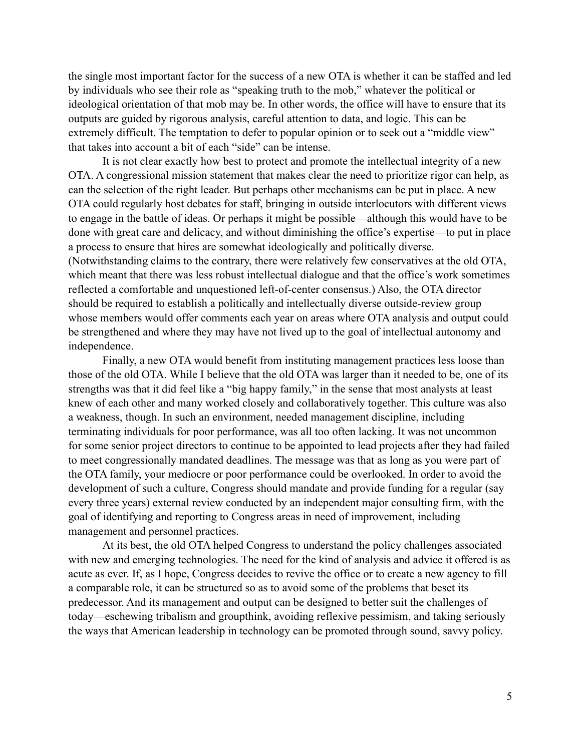the single most important factor for the success of a new OTA is whether it can be staffed and led by individuals who see their role as "speaking truth to the mob," whatever the political or ideological orientation of that mob may be. In other words, the office will have to ensure that its outputs are guided by rigorous analysis, careful attention to data, and logic. This can be extremely difficult. The temptation to defer to popular opinion or to seek out a "middle view" that takes into account a bit of each "side" can be intense.

It is not clear exactly how best to protect and promote the intellectual integrity of a new OTA. A congressional mission statement that makes clear the need to prioritize rigor can help, as can the selection of the right leader. But perhaps other mechanisms can be put in place. A new OTA could regularly host debates for staff, bringing in outside interlocutors with different views to engage in the battle of ideas. Or perhaps it might be possible—although this would have to be done with great care and delicacy, and without diminishing the office's expertise—to put in place a process to ensure that hires are somewhat ideologically and politically diverse. (Notwithstanding claims to the contrary, there were relatively few conservatives at the old OTA, which meant that there was less robust intellectual dialogue and that the office's work sometimes reflected a comfortable and unquestioned left-of-center consensus.) Also, the OTA director should be required to establish a politically and intellectually diverse outside-review group whose members would offer comments each year on areas where OTA analysis and output could be strengthened and where they may have not lived up to the goal of intellectual autonomy and independence.

Finally, a new OTA would benefit from instituting management practices less loose than those of the old OTA. While I believe that the old OTA was larger than it needed to be, one of its strengths was that it did feel like a "big happy family," in the sense that most analysts at least knew of each other and many worked closely and collaboratively together. This culture was also a weakness, though. In such an environment, needed management discipline, including terminating individuals for poor performance, was all too often lacking. It was not uncommon for some senior project directors to continue to be appointed to lead projects after they had failed to meet congressionally mandated deadlines. The message was that as long as you were part of the OTA family, your mediocre or poor performance could be overlooked. In order to avoid the development of such a culture, Congress should mandate and provide funding for a regular (say every three years) external review conducted by an independent major consulting firm, with the goal of identifying and reporting to Congress areas in need of improvement, including management and personnel practices.

At its best, the old OTA helped Congress to understand the policy challenges associated with new and emerging technologies. The need for the kind of analysis and advice it offered is as acute as ever. If, as I hope, Congress decides to revive the office or to create a new agency to fill a comparable role, it can be structured so as to avoid some of the problems that beset its predecessor. And its management and output can be designed to better suit the challenges of today—eschewing tribalism and groupthink, avoiding reflexive pessimism, and taking seriously the ways that American leadership in technology can be promoted through sound, savvy policy.